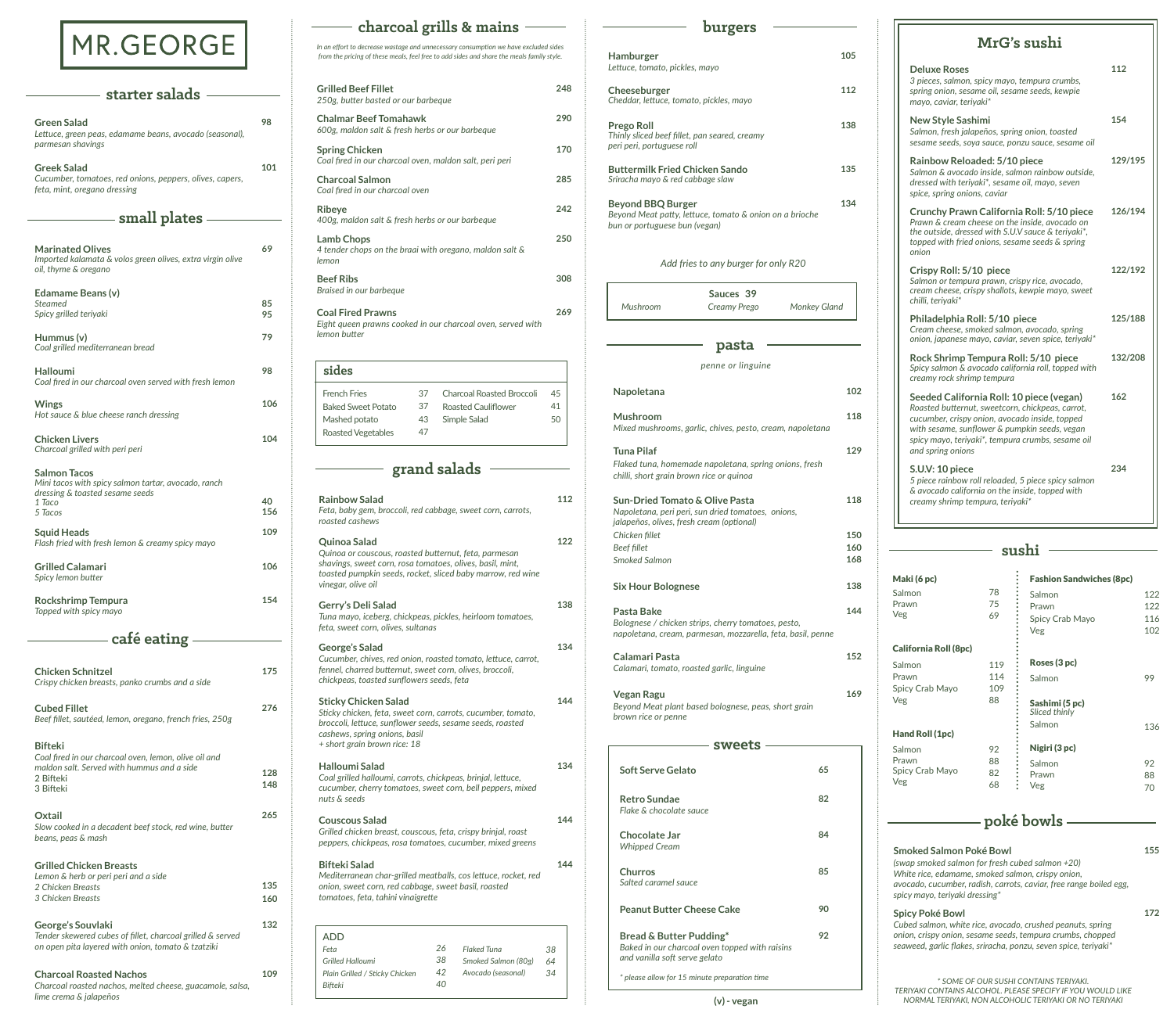| <b>Grilled Beef Fillet</b><br>250g, butter basted or our barbeque                                       | 248 |
|---------------------------------------------------------------------------------------------------------|-----|
| <b>Chalmar Beef Tomahawk</b><br>600g, maldon salt & fresh herbs or our barbeque                         | 290 |
| <b>Spring Chicken</b><br>Coal fired in our charcoal oven, maldon salt, peri peri                        | 170 |
| <b>Charcoal Salmon</b><br>Coal fired in our charcoal oven                                               | 285 |
| Ribeye<br>400g, maldon salt & fresh herbs or our barbeque                                               | 242 |
| <b>Lamb Chops</b><br>4 tender chops on the braai with oregano, maldon salt &<br>lemon                   | 250 |
| <b>Beef Ribs</b><br>Braised in our barbeque                                                             | 308 |
| <b>Coal Fired Prawns</b><br>Eight queen prawns cooked in our charcoal oven, served with<br>lemon butter | 269 |

*In an effort to decrease wastage and unnecessary consumption we have excluded sides from the pricing of these meals, feel free to add sides and share the meals family style.* 

| sides                     |    |                           |    |
|---------------------------|----|---------------------------|----|
| <b>French Fries</b>       | 37 | Charcoal Roasted Broccoli | 45 |
| <b>Baked Sweet Potato</b> | 37 | Roasted Cauliflower       | 41 |
| Mashed potato             | 43 | Simple Salad              | 50 |
| <b>Roasted Vegetables</b> | 47 |                           |    |
|                           |    |                           |    |

# **charcoal grills & mains**

| <b>Rainbow Salad</b><br>Feta, baby gem, broccoli, red cabbage, sweet corn, carrots,<br>roasted cashews                                                                                                                  | 112      |
|-------------------------------------------------------------------------------------------------------------------------------------------------------------------------------------------------------------------------|----------|
| Quinoa Salad<br>Quinoa or couscous, roasted butternut, feta, parmesan<br>shavings, sweet corn, rosa tomatoes, olives, basil, mint,<br>toasted pumpkin seeds, rocket, sliced baby marrow, red wine<br>vinegar, olive oil | 122      |
| Gerry's Deli Salad<br>Tuna mayo, iceberg, chickpeas, pickles, heirloom tomatoes,<br>feta, sweet corn, olives, sultanas                                                                                                  | 138      |
| <b>George's Salad</b><br>Cucumber, chives, red onion, roasted tomato, lettuce, carrot,<br>fennel, charred butternut, sweet corn, olives, broccoli,<br>chickpeas, toasted sunflowers seeds, feta                         | 134      |
| Sticky Chicken Salad<br>Sticky chicken, feta, sweet corn, carrots, cucumber, tomato,<br>broccoli, lettuce, sunflower seeds, sesame seeds, roasted<br>cashews, spring onions, basil<br>+ short grain brown rice: 18      | 144      |
| Halloumi Salad<br>Coal grilled halloumi, carrots, chickpeas, brinjal, lettuce,<br>cucumber, cherry tomatoes, sweet corn, bell peppers, mixed<br>nuts & seeds                                                            | 134      |
| <b>Couscous Salad</b><br>Grilled chicken breast, couscous, feta, crispy brinjal, roast<br>peppers, chickpeas, rosa tomatoes, cucumber, mixed greens                                                                     | 144      |
| <b>Bifteki Salad</b><br>Mediterranean char-grilled meatballs, cos lettuce, rocket, red<br>onion, sweet corn, red cabbage, sweet basil, roasted<br>tomatoes, feta, tahini vinaigrette                                    | 144      |
| <b>ADD</b><br>26<br><b>Flaked Tuna</b><br>Feta                                                                                                                                                                          | 38       |
| 38<br><b>Grilled Halloumi</b><br>Smoked Salmon (80g)<br>42<br>Avocado (seasonal)<br>Plain Grilled / Sticky Chicken<br>40<br><b>Bifteki</b>                                                                              | 64<br>34 |

## **grand salads**

# MR.GEORGE

| - starter salads                                                                                                                                |            |
|-------------------------------------------------------------------------------------------------------------------------------------------------|------------|
| <b>Green Salad</b><br>Lettuce, green peas, edamame beans, avocado (seasonal),<br>parmesan shavings                                              | 98         |
| Greek Salad<br>Cucumber, tomatoes, red onions, peppers, olives, capers,<br>feta, mint, oregano dressing                                         | 101        |
| - small plates -                                                                                                                                |            |
| <b>Marinated Olives</b><br>Imported kalamata & volos green olives, extra virgin olive<br>oil, thyme & oregano                                   | 69         |
| Edamame Beans (v)<br>Steamed<br>Spicy grilled teriyaki                                                                                          | 85<br>95   |
| Hummus (v)<br>Coal grilled mediterranean bread                                                                                                  | 79         |
| <b>Halloumi</b><br>Coal fired in our charcoal oven served with fresh lemon                                                                      | 98         |
| <b>Wings</b><br>Hot sauce & blue cheese ranch dressing                                                                                          | 106        |
| <b>Chicken Livers</b><br>Charcoal grilled with peri peri                                                                                        | 104        |
| <b>Salmon Tacos</b><br>Mini tacos with spicy salmon tartar, avocado, ranch<br>dressing & toasted sesame seeds<br>1 Taco                         | 40         |
| 5 Tacos                                                                                                                                         | 156        |
| <b>Squid Heads</b><br>Flash fried with fresh lemon & creamy spicy mayo                                                                          | 109        |
| <b>Grilled Calamari</b><br>Spicy lemon butter                                                                                                   | 106        |
| <b>Rockshrimp Tempura</b><br>Topped with spicy mayo                                                                                             | 154        |
| - café eating –                                                                                                                                 |            |
| <b>Chicken Schnitzel</b><br>Crispy chicken breasts, panko crumbs and a side                                                                     | 175        |
| <b>Cubed Fillet</b><br>Beef fillet, sautéed, lemon, oregano, french fries, 250g                                                                 | 276        |
| <b>Bifteki</b><br>Coal fired in our charcoal oven, lemon, olive oil and<br>maldon salt. Served with hummus and a side<br>2 Bifteki<br>3 Bifteki | 128<br>148 |
| Oxtail<br>Slow cooked in a decadent beef stock, red wine, butter<br>beans, peas & mash                                                          | 265        |
| <b>Grilled Chicken Breasts</b><br>Lemon & herb or peri peri and a side<br>2 Chicken Breasts<br>3 Chicken Breasts                                | 135<br>160 |
| George's Souvlaki<br>Tender skewered cubes of fillet, charcoal grilled & served<br>on open pita layered with onion, tomato & tzatziki           | 132        |
| <b>Charcoal Roasted Nachos</b><br>Charcoal roasted nachos, melted cheese, guacamole, salsa,<br>lime crema & jalapeños                           | 109        |

**Bread & Butter Pudding\***  *Baked in our charcoal oven topped with raisins and vanilla soft serve gelato* **92**

*\* please allow for 15 minute preparation time*

| <b>Hamburger</b><br>Lettuce, tomato, pickles, mayo<br>Cheeseburger<br>Cheddar, lettuce, tomato, pickles, mayo<br><b>Prego Roll</b> |     |
|------------------------------------------------------------------------------------------------------------------------------------|-----|
|                                                                                                                                    |     |
|                                                                                                                                    | 105 |
|                                                                                                                                    |     |
|                                                                                                                                    | 112 |
|                                                                                                                                    | 138 |
| Thinly sliced beef fillet, pan seared, creamy<br>peri peri, portuguese roll                                                        |     |
| <b>Buttermilk Fried Chicken Sando</b><br>Sriracha mayo & red cabbage slaw                                                          | 135 |
| <b>Beyond BBQ Burger</b><br>Beyond Meat patty, lettuce, tomato & onion on a brioche<br>bun or portuguese bun (vegan)               | 134 |
| Add fries to any burger for only R20                                                                                               |     |
| Sauces 39                                                                                                                          |     |
| Mushroom<br>Monkey Gland<br>Creamy Prego                                                                                           |     |
|                                                                                                                                    |     |
| pasta                                                                                                                              |     |
| penne or linguine                                                                                                                  |     |
| Napoletana                                                                                                                         | 102 |
|                                                                                                                                    |     |
| Mushroom<br>Mixed mushrooms, garlic, chives, pesto, cream, napoletana                                                              | 118 |
| Tuna Pilaf                                                                                                                         | 129 |
| Flaked tuna, homemade napoletana, spring onions, fresh                                                                             |     |
| chilli, short grain brown rice or quinoa                                                                                           |     |
| <b>Sun-Dried Tomato &amp; Olive Pasta</b>                                                                                          | 118 |
| Napoletana, peri peri, sun dried tomatoes, onions,                                                                                 |     |
| jalapeños, olives, fresh cream (optional)<br>Chicken fillet                                                                        | 150 |
| <b>Beef fillet</b>                                                                                                                 | 160 |
| Smoked Salmon                                                                                                                      | 168 |
| <b>Six Hour Bolognese</b>                                                                                                          | 138 |
| Pasta Bake                                                                                                                         | 144 |
| Bolognese / chicken strips, cherry tomatoes, pesto,<br>napoletana, cream, parmesan, mozzarella, feta, basil, penne                 |     |
| Calamari Pasta                                                                                                                     | 152 |
| Calamari, tomato, roasted garlic, linguine                                                                                         |     |
| <b>Vegan Ragu</b>                                                                                                                  | 169 |
| Beyond Meat plant based bolognese, peas, short grain<br>brown rice or penne                                                        |     |
|                                                                                                                                    |     |
| sweets                                                                                                                             |     |
| <b>Soft Serve Gelato</b><br>65                                                                                                     |     |
|                                                                                                                                    |     |
| 82<br><b>Retro Sundae</b><br>Flake & chocolate sauce                                                                               |     |
|                                                                                                                                    |     |
| 84<br>Chocolate Jar<br><b>Whipped Cream</b>                                                                                        |     |
|                                                                                                                                    |     |
| 85<br>Churros<br>Salted caramel sauce                                                                                              |     |

| MrG's sushi                                                                                                                                                                                                                                                               |         |
|---------------------------------------------------------------------------------------------------------------------------------------------------------------------------------------------------------------------------------------------------------------------------|---------|
| <b>Deluxe Roses</b><br>3 pieces, salmon, spicy mayo, tempura crumbs,<br>spring onion, sesame oil, sesame seeds, kewpie<br>mayo, caviar, teriyaki*                                                                                                                         | 112     |
| <b>New Style Sashimi</b><br>Salmon, fresh jalapeños, spring onion, toasted<br>sesame seeds, soya sauce, ponzu sauce, sesame oil                                                                                                                                           | 154     |
| Rainbow Reloaded: 5/10 piece<br>Salmon & avocado inside, salmon rainbow outside,<br>dressed with teriyaki*, sesame oil, mayo, seven<br>spice, spring onions, caviar                                                                                                       | 129/195 |
| Crunchy Prawn California Roll: 5/10 piece<br>Prawn & cream cheese on the inside, avocado on<br>the outside, dressed with S.U.V sauce & teriyaki*,<br>topped with fried onions, sesame seeds & spring<br>onion                                                             | 126/194 |
| Crispy Roll: 5/10 piece<br>Salmon or tempura prawn, crispy rice, avocado,<br>cream cheese, crispy shallots, kewpie mayo, sweet<br>chilli, teriyaki*                                                                                                                       | 122/192 |
| Philadelphia Roll: 5/10 piece<br>Cream cheese, smoked salmon, avocado, spring<br>onion, japanese mayo, caviar, seven spice, teriyaki*                                                                                                                                     | 125/188 |
| Rock Shrimp Tempura Roll: 5/10 piece<br>Spicy salmon & avocado california roll, topped with<br>creamy rock shrimp tempura                                                                                                                                                 | 132/208 |
| Seeded California Roll: 10 piece (vegan)<br>Roasted butternut, sweetcorn, chickpeas, carrot,<br>cucumber, crispy onion, avocado inside, topped<br>with sesame, sunflower & pumpkin seeds, vegan<br>spicy mayo, teriyaki*, tempura crumbs, sesame oil<br>and spring onions | 162     |
| S.U.V: 10 piece<br>5 piece rainbow roll reloaded, 5 piece spicy salmon<br>& avocado california on the inside, topped with<br>creamy shrimp tempura, terivaki*                                                                                                             | 234     |

| Maki (6 pc)<br>Salmon<br>Prawn<br>Veg | 78<br>75<br>69 |   | <b>Fashion Sandwiches (8pc)</b><br>Salmon<br>Prawn<br>Spicy Crab Mayo<br>Veg | 122<br>122<br>116<br>102 |
|---------------------------------------|----------------|---|------------------------------------------------------------------------------|--------------------------|
| <b>California Roll (8pc)</b>          |                |   |                                                                              |                          |
| Salmon                                | 119            |   | Roses (3 pc)                                                                 |                          |
| Prawn                                 | 114            |   | Salmon                                                                       | 99                       |
| Spicy Crab Mayo                       | 109            |   |                                                                              |                          |
| Veg                                   | 88             |   | Sashimi (5 pc)<br>Sliced thinly                                              |                          |
| Hand Roll (1pc)                       |                |   | Salmon                                                                       | 136                      |
| Salmon                                | 92             |   | Nigiri (3 pc)                                                                |                          |
| Prawn                                 | 88             |   | Salmon                                                                       | 92                       |
| Spicy Crab Mayo<br>Veg                | 82             |   | Prawn                                                                        | 88                       |
|                                       | 68             | t | Veg                                                                          | 70                       |

**sushi**

## **poké bowls**

| Smoked Salmon Poké Bowl<br>(swap smoked salmon for fresh cubed salmon $+20$ )<br>White rice, edamame, smoked salmon, crispy onion,<br>avocado, cucumber, radish, carrots, caviar, free range boiled egg,<br>spicy mayo, teriyaki dressing* | 155 |
|--------------------------------------------------------------------------------------------------------------------------------------------------------------------------------------------------------------------------------------------|-----|
| <b>Spicy Poké Bowl</b><br>Cubed salmon, white rice, avocado, crushed peanuts, spring<br>onion, crispy onion, sesame seeds, tempura crumbs, chopped<br>seaweed, garlic flakes, sriracha, ponzu, seven spice, teriyaki*                      |     |